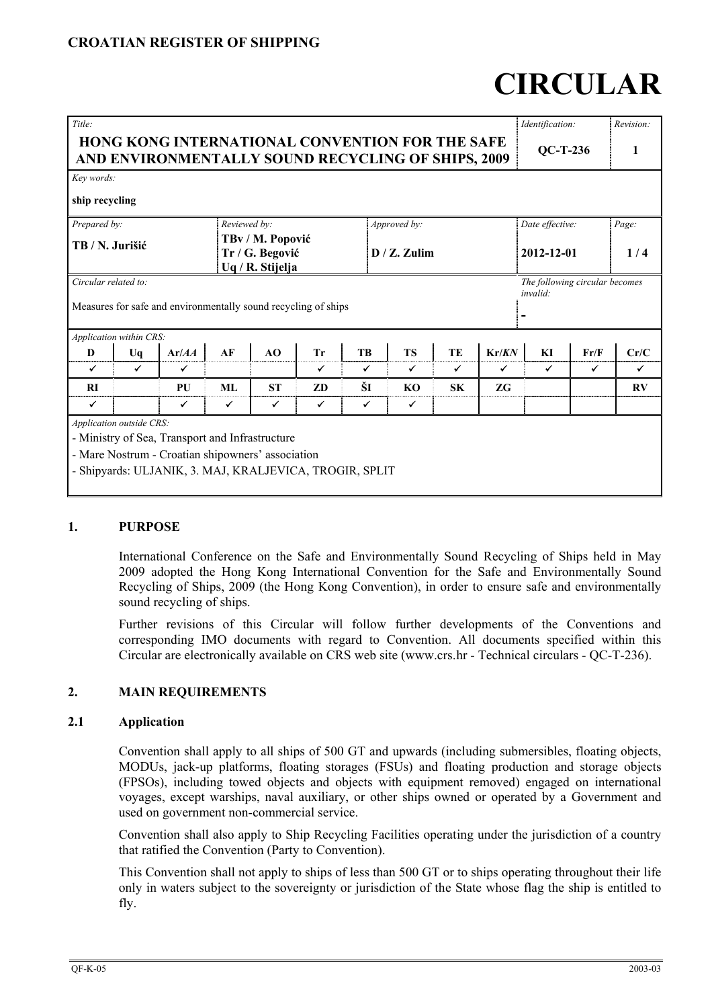## **CROATIAN REGISTER OF SHIPPING**

# **CIRCULAR**

| Title:                                                                                                       |              |                                                                                                                                                                 |              |                                     |              |              |                 |              |                 | Identification:                            |       | Revision:    |
|--------------------------------------------------------------------------------------------------------------|--------------|-----------------------------------------------------------------------------------------------------------------------------------------------------------------|--------------|-------------------------------------|--------------|--------------|-----------------|--------------|-----------------|--------------------------------------------|-------|--------------|
| <b>HONG KONG INTERNATIONAL CONVENTION FOR THE SAFE</b><br>AND ENVIRONMENTALLY SOUND RECYCLING OF SHIPS, 2009 |              |                                                                                                                                                                 |              |                                     |              | $QC-T-236$   |                 |              |                 |                                            |       |              |
| Key words:                                                                                                   |              |                                                                                                                                                                 |              |                                     |              |              |                 |              |                 |                                            |       |              |
| ship recycling                                                                                               |              |                                                                                                                                                                 |              |                                     |              |              |                 |              |                 |                                            |       |              |
| Prepared by:                                                                                                 |              |                                                                                                                                                                 | Reviewed by: |                                     |              |              | Approved by:    |              | Date effective: |                                            | Page: |              |
| TB / N. Jurišić                                                                                              |              |                                                                                                                                                                 |              | TBv / M. Popović<br>Tr / G. Begović |              |              | $D / Z$ . Zulim |              |                 | 2012-12-01                                 |       | 1/4          |
|                                                                                                              |              |                                                                                                                                                                 |              | Uq / R. Stijelja                    |              |              |                 |              |                 |                                            |       |              |
| Circular related to:                                                                                         |              | Measures for safe and environmentally sound recycling of ships                                                                                                  |              |                                     |              |              |                 |              |                 | The following circular becomes<br>invalid: |       |              |
| Application within CRS:                                                                                      |              |                                                                                                                                                                 |              |                                     |              |              |                 |              |                 |                                            |       |              |
| D                                                                                                            | Uq           | Ar/AA                                                                                                                                                           | AF           | AO                                  | Tr           | <b>TB</b>    | <b>TS</b>       | <b>TE</b>    | Kr/KN           | KI                                         | Fr/F  | Cr/C         |
| $\checkmark$                                                                                                 | $\checkmark$ | ✔                                                                                                                                                               |              |                                     | ✓            | $\checkmark$ | ✓               | $\checkmark$ | $\checkmark$    | ✓                                          | ✓     | $\checkmark$ |
| <b>RI</b>                                                                                                    |              | PU                                                                                                                                                              | ML           | <b>ST</b>                           | ZD           | ŠI           | KO              | <b>SK</b>    | <b>ZG</b>       |                                            |       | RV           |
| ✓                                                                                                            |              | $\checkmark$                                                                                                                                                    | ✓            | ✓                                   | $\checkmark$ | ✓            | ✓               |              |                 |                                            |       |              |
| Application outside CRS:                                                                                     |              | - Ministry of Sea, Transport and Infrastructure<br>- Mare Nostrum - Croatian shipowners' association<br>- Shipyards: ULJANIK, 3. MAJ, KRALJEVICA, TROGIR, SPLIT |              |                                     |              |              |                 |              |                 |                                            |       |              |

## **1. PURPOSE**

International Conference on the Safe and Environmentally Sound Recycling of Ships held in May 2009 adopted the Hong Kong International Convention for the Safe and Environmentally Sound Recycling of Ships, 2009 (the Hong Kong Convention), in order to ensure safe and environmentally sound recycling of ships.

Further revisions of this Circular will follow further developments of the Conventions and corresponding IMO documents with regard to Convention. All documents specified within this Circular are electronically available on CRS web site (www.crs.hr - Technical circulars - QC-T-236).

#### **2. MAIN REQUIREMENTS**

#### **2.1 Application**

Convention shall apply to all ships of 500 GT and upwards (including submersibles, floating objects, MODUs, jack-up platforms, floating storages (FSUs) and floating production and storage objects (FPSOs), including towed objects and objects with equipment removed) engaged on international voyages, except warships, naval auxiliary, or other ships owned or operated by a Government and used on government non-commercial service.

Convention shall also apply to Ship Recycling Facilities operating under the jurisdiction of a country that ratified the Convention (Party to Convention).

This Convention shall not apply to ships of less than 500 GT or to ships operating throughout their life only in waters subject to the sovereignty or jurisdiction of the State whose flag the ship is entitled to fly.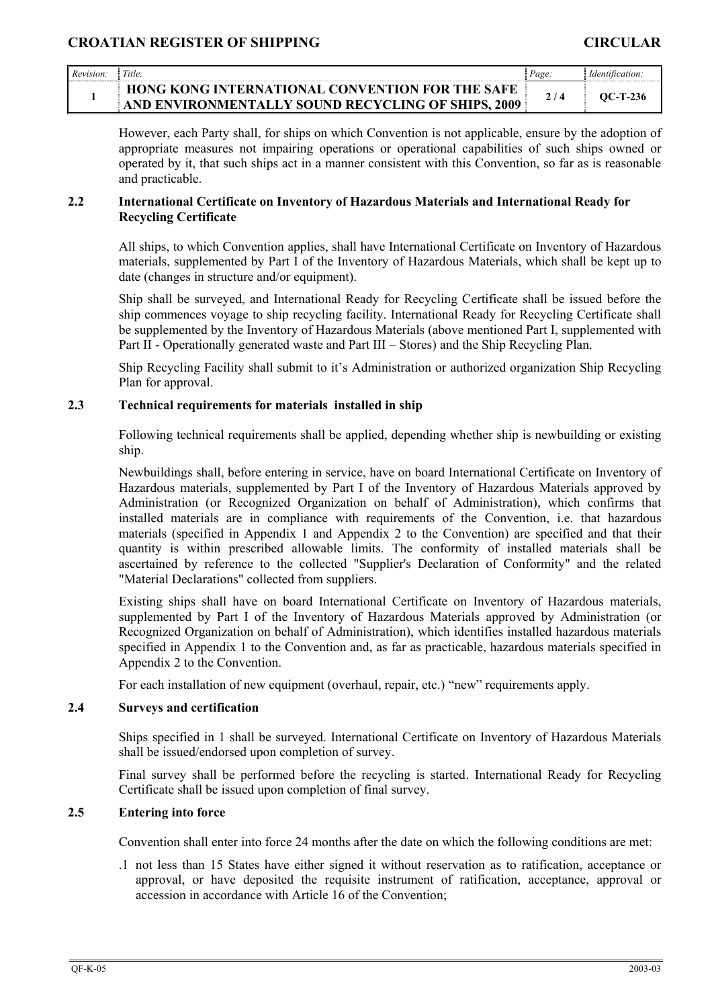| Revision | Title:                                                                                                       | Page. | <i>Identification.</i> |
|----------|--------------------------------------------------------------------------------------------------------------|-------|------------------------|
|          | <b>HONG KONG INTERNATIONAL CONVENTION FOR THE SAFE</b><br>AND ENVIRONMENTALLY SOUND RECYCLING OF SHIPS, 2009 |       | OC-T-236               |

However, each Party shall, for ships on which Convention is not applicable, ensure by the adoption of appropriate measures not impairing operations or operational capabilities of such ships owned or operated by it, that such ships act in a manner consistent with this Convention, so far as is reasonable and practicable.

## **2.2 International Certificate on Inventory of Hazardous Materials and International Ready for Recycling Certificate**

All ships, to which Convention applies, shall have International Certificate on Inventory of Hazardous materials, supplemented by Part I of the Inventory of Hazardous Materials, which shall be kept up to date (changes in structure and/or equipment).

Ship shall be surveyed, and International Ready for Recycling Certificate shall be issued before the ship commences voyage to ship recycling facility. International Ready for Recycling Certificate shall be supplemented by the Inventory of Hazardous Materials (above mentioned Part I, supplemented with Part II - Operationally generated waste and Part III – Stores) and the Ship Recycling Plan.

Ship Recycling Facility shall submit to it's Administration or authorized organization Ship Recycling Plan for approval.

## **2.3 Technical requirements for materials installed in ship**

Following technical requirements shall be applied, depending whether ship is newbuilding or existing ship.

Newbuildings shall, before entering in service, have on board International Certificate on Inventory of Hazardous materials, supplemented by Part I of the Inventory of Hazardous Materials approved by Administration (or Recognized Organization on behalf of Administration), which confirms that installed materials are in compliance with requirements of the Convention, i.e. that hazardous materials (specified in Appendix 1 and Appendix 2 to the Convention) are specified and that their quantity is within prescribed allowable limits. The conformity of installed materials shall be ascertained by reference to the collected "Supplier's Declaration of Conformity" and the related "Material Declarations" collected from suppliers.

Existing ships shall have on board International Certificate on Inventory of Hazardous materials, supplemented by Part I of the Inventory of Hazardous Materials approved by Administration (or Recognized Organization on behalf of Administration), which identifies installed hazardous materials specified in Appendix 1 to the Convention and, as far as practicable, hazardous materials specified in Appendix 2 to the Convention.

For each installation of new equipment (overhaul, repair, etc.) "new" requirements apply.

#### **2.4 Surveys and certification**

Ships specified in 1 shall be surveyed. International Certificate on Inventory of Hazardous Materials shall be issued/endorsed upon completion of survey.

Final survey shall be performed before the recycling is started. International Ready for Recycling Certificate shall be issued upon completion of final survey.

## **2.5 Entering into force**

Convention shall enter into force 24 months after the date on which the following conditions are met:

.1 not less than 15 States have either signed it without reservation as to ratification, acceptance or approval, or have deposited the requisite instrument of ratification, acceptance, approval or accession in accordance with Article 16 of the Convention;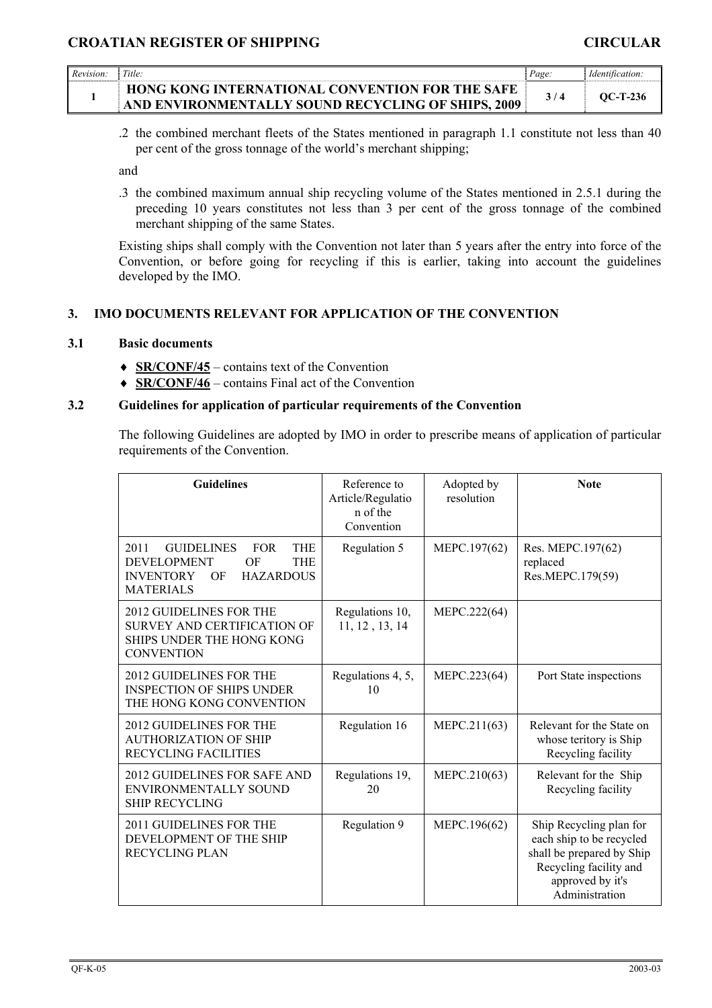| Revision. | Title:                                                                                                       | Page. |          |
|-----------|--------------------------------------------------------------------------------------------------------------|-------|----------|
|           | <b>HONG KONG INTERNATIONAL CONVENTION FOR THE SAFE</b><br>AND ENVIRONMENTALLY SOUND RECYCLING OF SHIPS, 2009 |       | OC-T-236 |

.2 the combined merchant fleets of the States mentioned in paragraph 1.1 constitute not less than 40 per cent of the gross tonnage of the world's merchant shipping;

and

.3 the combined maximum annual ship recycling volume of the States mentioned in 2.5.1 during the preceding 10 years constitutes not less than 3 per cent of the gross tonnage of the combined merchant shipping of the same States.

Existing ships shall comply with the Convention not later than 5 years after the entry into force of the Convention, or before going for recycling if this is earlier, taking into account the guidelines developed by the IMO.

## **3. IMO DOCUMENTS RELEVANT FOR APPLICATION OF THE CONVENTION**

#### **3.1 Basic documents**

- ♦ **SR/CONF/45** contains text of the Convention
- ♦ **SR/CONF/46** contains Final act of the Convention

#### **3.2 Guidelines for application of particular requirements of the Convention**

The following Guidelines are adopted by IMO in order to prescribe means of application of particular requirements of the Convention.

| <b>Guidelines</b>                                                                                                                                                 | Reference to<br>Article/Regulatio<br>n of the<br>Convention | Adopted by<br>resolution | <b>Note</b>                                                                                                                                      |
|-------------------------------------------------------------------------------------------------------------------------------------------------------------------|-------------------------------------------------------------|--------------------------|--------------------------------------------------------------------------------------------------------------------------------------------------|
| 2011<br><b>GUIDELINES</b><br><b>FOR</b><br><b>THE</b><br><b>DEVELOPMENT</b><br>OF<br><b>THE</b><br><b>HAZARDOUS</b><br><b>INVENTORY</b><br>OF<br><b>MATERIALS</b> | Regulation 5                                                | MEPC.197(62)             | Res. MEPC.197(62)<br>replaced<br>Res.MEPC.179(59)                                                                                                |
| 2012 GUIDELINES FOR THE<br><b>SURVEY AND CERTIFICATION OF</b><br>SHIPS UNDER THE HONG KONG<br><b>CONVENTION</b>                                                   | Regulations 10,<br>11, 12, 13, 14                           | MEPC.222(64)             |                                                                                                                                                  |
| 2012 GUIDELINES FOR THE<br><b>INSPECTION OF SHIPS UNDER</b><br>THE HONG KONG CONVENTION                                                                           | Regulations 4, 5,<br>10                                     | MEPC.223(64)             | Port State inspections                                                                                                                           |
| <b>2012 GUIDELINES FOR THE</b><br><b>AUTHORIZATION OF SHIP</b><br><b>RECYCLING FACILITIES</b>                                                                     | Regulation 16                                               | MEPC.211(63)             | Relevant for the State on<br>whose teritory is Ship<br>Recycling facility                                                                        |
| 2012 GUIDELINES FOR SAFE AND<br>ENVIRONMENTALLY SOUND<br><b>SHIP RECYCLING</b>                                                                                    | Regulations 19,<br>20                                       | MEPC.210(63)             | Relevant for the Ship<br>Recycling facility                                                                                                      |
| 2011 GUIDELINES FOR THE<br>DEVELOPMENT OF THE SHIP<br><b>RECYCLING PLAN</b>                                                                                       | Regulation 9                                                | MEPC.196(62)             | Ship Recycling plan for<br>each ship to be recycled<br>shall be prepared by Ship<br>Recycling facility and<br>approved by it's<br>Administration |